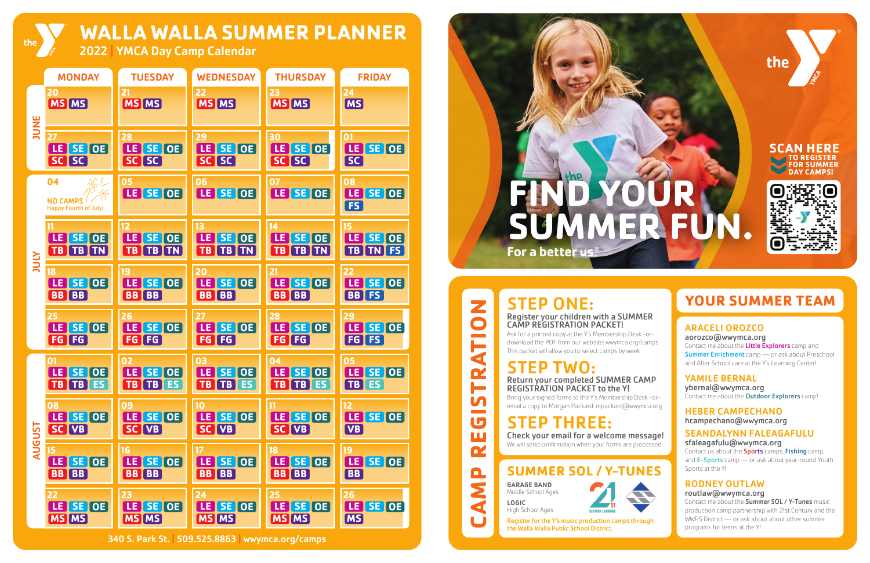



**CAMP REGISTRATION**

Ш C/

 $\mathbf{\Omega}$ 

**NA** 

 $\blacksquare$ 

**in**  $\overline{\phantom{a}}$ L

Z

 $\bullet$ 

Ę

 $\mathbf{\tilde{F}}$ 



# **YOUR SUMMER TEAM**

Contact me about the **Little Explorers** camp and **Summer Enrichment** camp — or ask about Preschool and After School care at the Y's Learning Center!

ybernal@wwymca.org Contact me about the **Outdoor Explorers** camp!

340 S. Park St. **|** 509.525.8863 **|** wwymca.org/camps

**WALLA WALLA SUMMER PLANNER**

2022 **|** YMCA Day Camp Calendar

Contact us about the **Sports** camps, Fishing camp, and E-Sports camp - or ask about year-round Youth Sports at the Y!

#### ARACELI OROZCO aorozco@wwymca.org

### YAMILE BERNAL

HEBER CAMPECHANO hcampechano@wwymca.org

#### SEANDALYNN FALEAGAFULU sfaleagafulu@wwymca.org

### RODNEY OUTLAW

routlaw@wwymca.org

Contact me about the Summer SOL / Y-Tunes music production camp partnership with 21st Century and the WWPS District — or ask about about other summer programs for teens at the Y!

STEP ONE:

Register your children with a SUMMER CAMP REGISTRATION PACKET!



Ask for a printed copy at the Y's Membership Desk -ordownload the PDF from our website: wwymca.org/camps This packet will allow you to select camps by week.

# STEP TWO:

Return your completed SUMMER CAMP REGISTRATION PACKET to the Y!

Bring your signed forms to the Y's Membership Desk -oremail a copy to Morgan Packard: mpackard@wwymca.org

# STEP THREE:

Check your email for a welcome message! We will send confirmation when your forms are processed.

## **SUMMER SOL / Y-TUNES**

GARAGE BAND Middle School Ages

LOGIC

High School Ages

Register for the Y's music production camps through the Walla Walla Public School District.

the